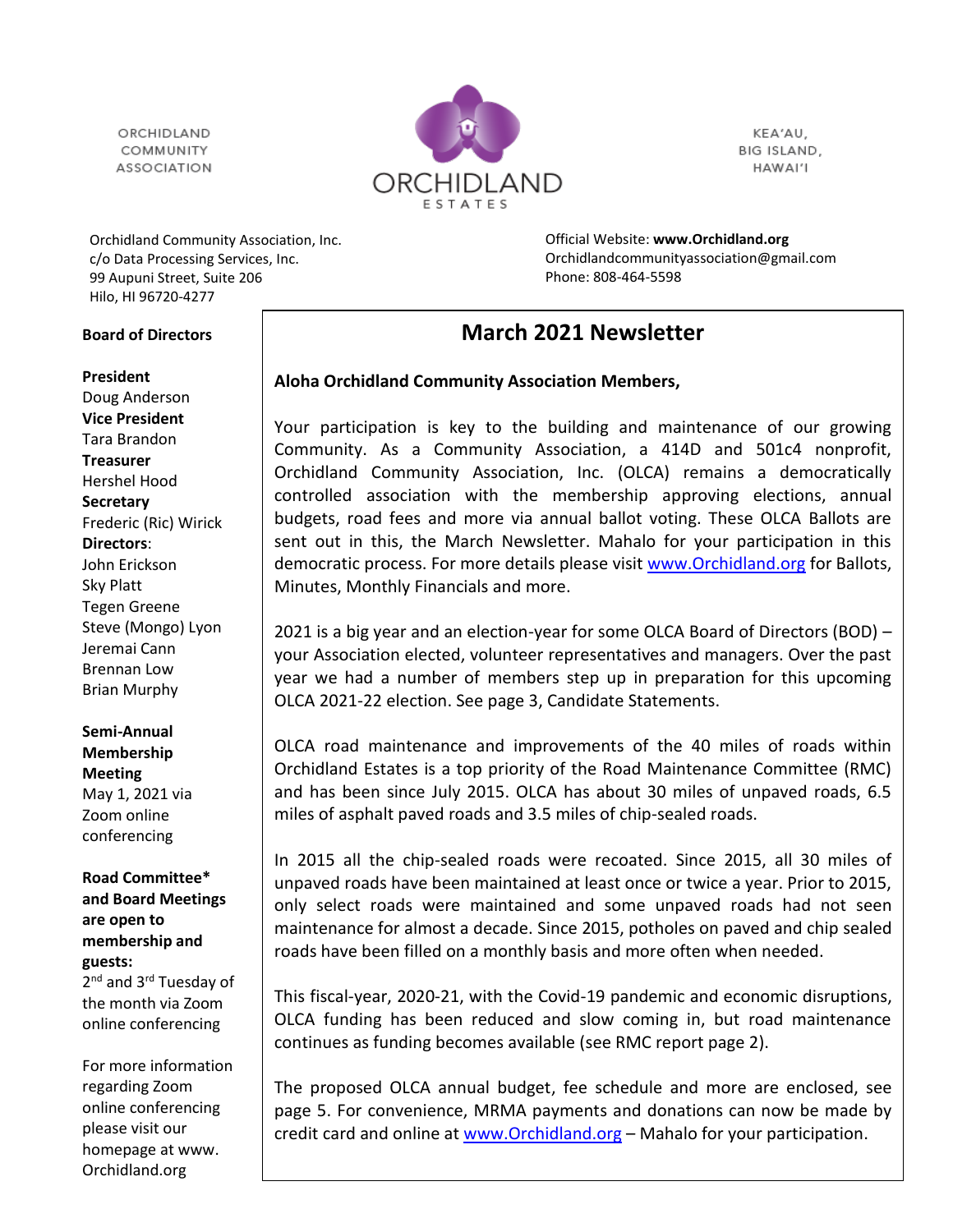ORCHIDI AND COMMUNITY **ASSOCIATION** 



KEA'AU, BIG ISLAND, HAWAI'I

Orchidland Community Association, Inc. c/o Data Processing Services, Inc. 99 Aupuni Street, Suite 206

Official Website: **[www.Orchidland.org](http://www.orchidland.org/)** Orchidlandcommunityassociation@gmail.com Phone: 808-464-5598

# **March 2021 Newsletter**

# **Aloha Orchidland Community Association Members,**

Your participation is key to the building and maintenance of our growing Community. As a Community Association, a 414D and 501c4 nonprofit, Orchidland Community Association, Inc. (OLCA) remains a democratically controlled association with the membership approving elections, annual budgets, road fees and more via annual ballot voting. These OLCA Ballots are sent out in this, the March Newsletter. Mahalo for your participation in this democratic process. For more details please visit [www.Orchidland.org](http://www.orchidland.org/) for Ballots, Minutes, Monthly Financials and more.

2021 is a big year and an election-year for some OLCA Board of Directors (BOD) – your Association elected, volunteer representatives and managers. Over the past year we had a number of members step up in preparation for this upcoming OLCA 2021-22 election. See page 3, Candidate Statements.

OLCA road maintenance and improvements of the 40 miles of roads within Orchidland Estates is a top priority of the Road Maintenance Committee (RMC) and has been since July 2015. OLCA has about 30 miles of unpaved roads, 6.5 miles of asphalt paved roads and 3.5 miles of chip-sealed roads.

In 2015 all the chip-sealed roads were recoated. Since 2015, all 30 miles of unpaved roads have been maintained at least once or twice a year. Prior to 2015, only select roads were maintained and some unpaved roads had not seen maintenance for almost a decade. Since 2015, potholes on paved and chip sealed roads have been filled on a monthly basis and more often when needed.

This fiscal-year, 2020-21, with the Covid-19 pandemic and economic disruptions, OLCA funding has been reduced and slow coming in, but road maintenance continues as funding becomes available (see RMC report page 2).

The proposed OLCA annual budget, fee schedule and more are enclosed, see page 5. For convenience, MRMA payments and donations can now be made by credit card and online at [www.Orchidland.org](http://www.orchidland.org/) – Mahalo for your participation.

Hilo, HI 96720-4277

### **Board of Directors**

#### **President**

Doug Anderson **Vice President** Tara Brandon **Treasurer** Hershel Hood **Secretary** Frederic (Ric) Wirick **Directors**: John Erickson Sky Platt Tegen Greene Steve (Mongo) Lyon Jeremai Cann Brennan Low Brian Murphy

#### **Semi-Annual Membership**

**Meeting** May 1, 2021 via Zoom online conferencing

**Road Committee\* and Board Meetings are open to membership and guests:** 2<sup>nd</sup> and 3<sup>rd</sup> Tuesday of the month via Zoom online conferencing

For more information regarding Zoom online conferencing please visit our homepage at www. Orchidland.org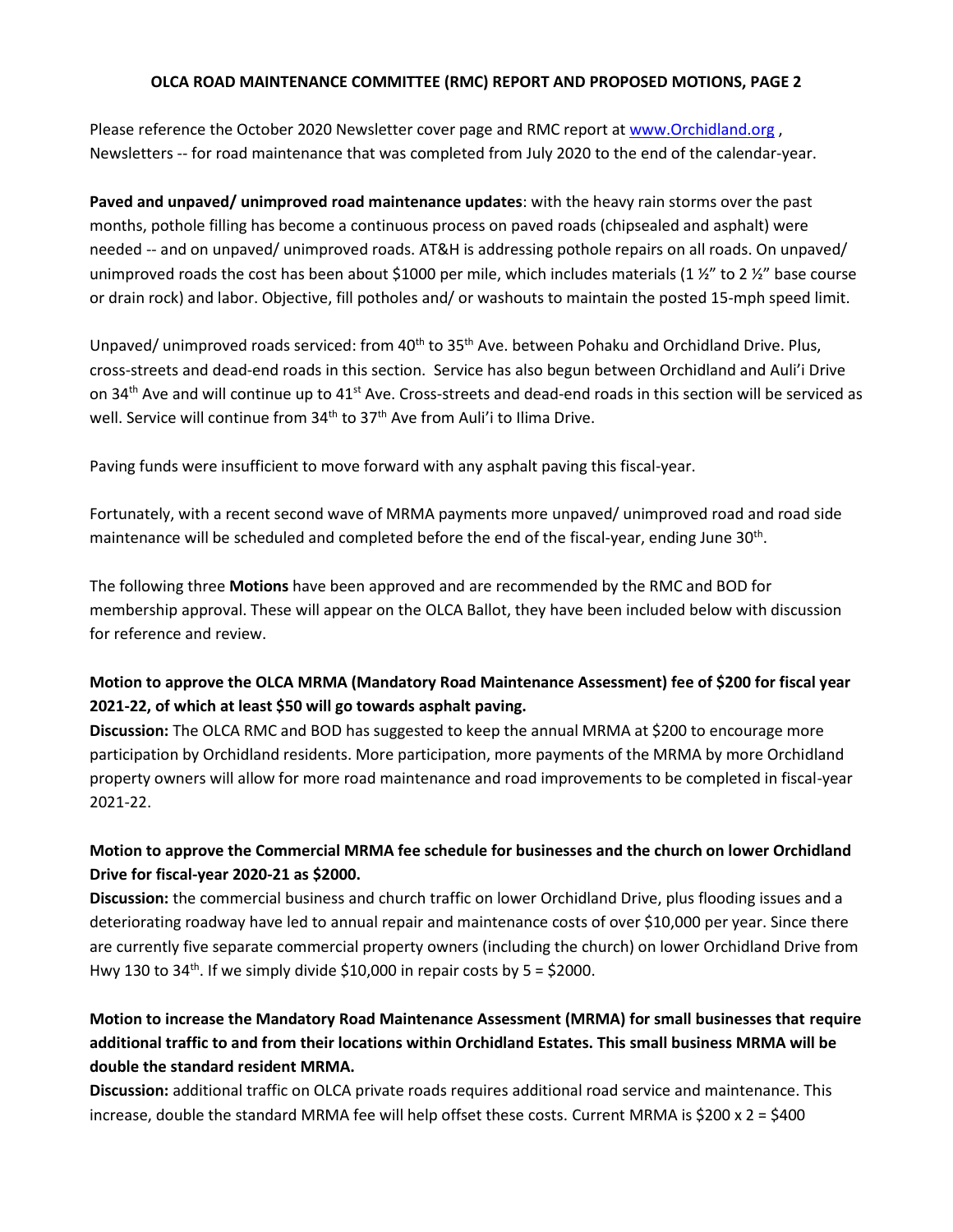#### **OLCA ROAD MAINTENANCE COMMITTEE (RMC) REPORT AND PROPOSED MOTIONS, PAGE 2**

Please reference the October 2020 Newsletter cover page and RMC report a[t www.Orchidland.org](http://www.orchidland.org/) , Newsletters -- for road maintenance that was completed from July 2020 to the end of the calendar-year.

**Paved and unpaved/ unimproved road maintenance updates**: with the heavy rain storms over the past months, pothole filling has become a continuous process on paved roads (chipsealed and asphalt) were needed -- and on unpaved/ unimproved roads. AT&H is addressing pothole repairs on all roads. On unpaved/ unimproved roads the cost has been about \$1000 per mile, which includes materials (1  $\frac{1}{2}$  to 2  $\frac{1}{2}$  base course or drain rock) and labor. Objective, fill potholes and/ or washouts to maintain the posted 15-mph speed limit.

Unpaved/ unimproved roads serviced: from 40<sup>th</sup> to 35<sup>th</sup> Ave. between Pohaku and Orchidland Drive. Plus, cross-streets and dead-end roads in this section. Service has also begun between Orchidland and Auli'i Drive on 34<sup>th</sup> Ave and will continue up to 41<sup>st</sup> Ave. Cross-streets and dead-end roads in this section will be serviced as well. Service will continue from 34<sup>th</sup> to 37<sup>th</sup> Ave from Auli'i to Ilima Drive.

Paving funds were insufficient to move forward with any asphalt paving this fiscal-year.

Fortunately, with a recent second wave of MRMA payments more unpaved/ unimproved road and road side maintenance will be scheduled and completed before the end of the fiscal-year, ending June 30<sup>th</sup>.

The following three **Motions** have been approved and are recommended by the RMC and BOD for membership approval. These will appear on the OLCA Ballot, they have been included below with discussion for reference and review.

# **Motion to approve the OLCA MRMA (Mandatory Road Maintenance Assessment) fee of \$200 for fiscal year 2021-22, of which at least \$50 will go towards asphalt paving.**

**Discussion:** The OLCA RMC and BOD has suggested to keep the annual MRMA at \$200 to encourage more participation by Orchidland residents. More participation, more payments of the MRMA by more Orchidland property owners will allow for more road maintenance and road improvements to be completed in fiscal-year 2021-22.

# **Motion to approve the Commercial MRMA fee schedule for businesses and the church on lower Orchidland Drive for fiscal-year 2020-21 as \$2000.**

**Discussion:** the commercial business and church traffic on lower Orchidland Drive, plus flooding issues and a deteriorating roadway have led to annual repair and maintenance costs of over \$10,000 per year. Since there are currently five separate commercial property owners (including the church) on lower Orchidland Drive from Hwy 130 to  $34<sup>th</sup>$ . If we simply divide \$10,000 in repair costs by 5 = \$2000.

# **Motion to increase the Mandatory Road Maintenance Assessment (MRMA) for small businesses that require additional traffic to and from their locations within Orchidland Estates. This small business MRMA will be double the standard resident MRMA.**

**Discussion:** additional traffic on OLCA private roads requires additional road service and maintenance. This increase, double the standard MRMA fee will help offset these costs. Current MRMA is  $$200 \times 2 = $400$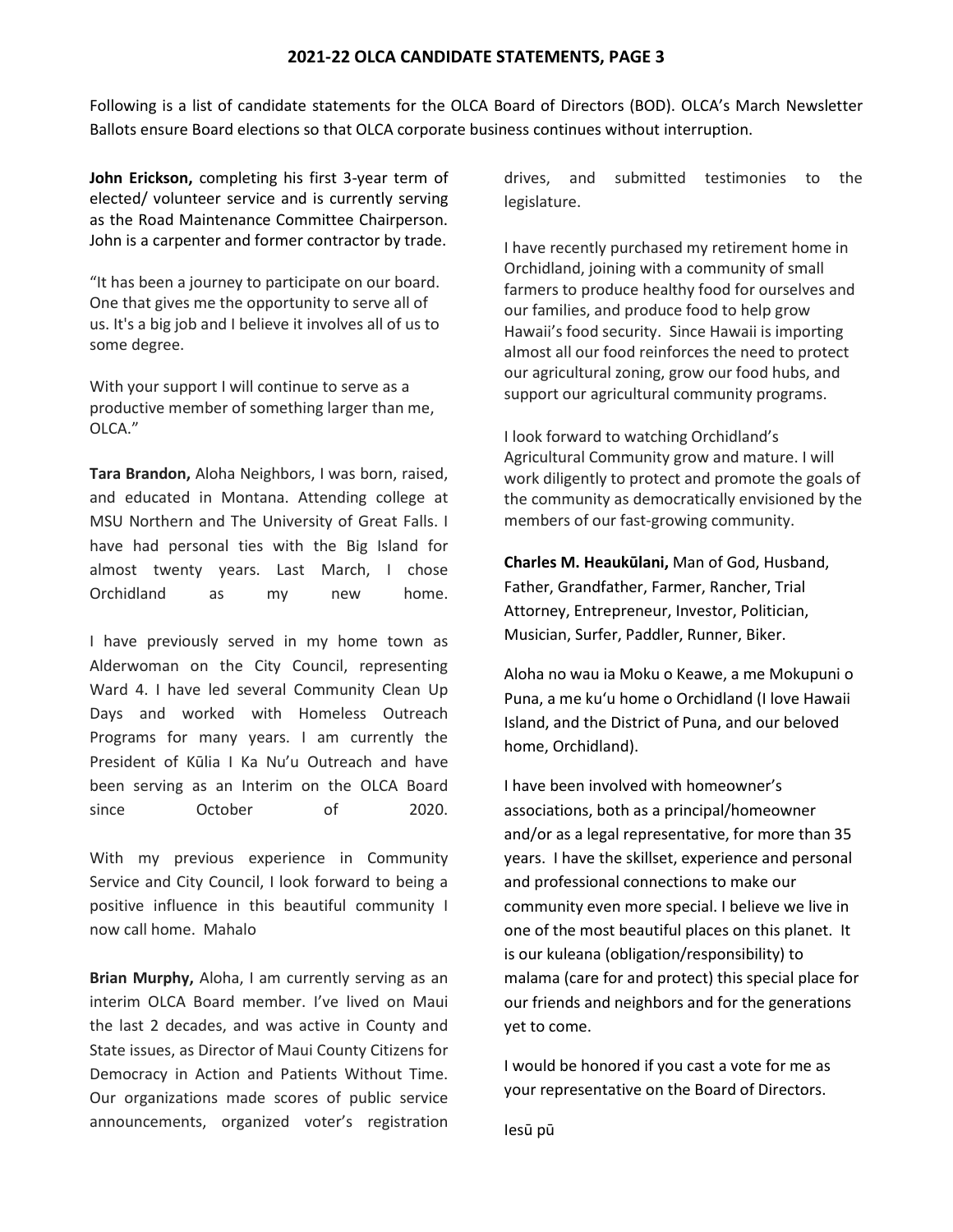#### **2021-22 OLCA CANDIDATE STATEMENTS, PAGE 3**

Following is a list of candidate statements for the OLCA Board of Directors (BOD). OLCA's March Newsletter Ballots ensure Board elections so that OLCA corporate business continues without interruption.

**John Erickson,** completing his first 3-year term of elected/ volunteer service and is currently serving as the Road Maintenance Committee Chairperson. John is a carpenter and former contractor by trade.

"It has been a journey to participate on our board. One that gives me the opportunity to serve all of us. It's a big job and I believe it involves all of us to some degree.

With your support I will continue to serve as a productive member of something larger than me, OLCA."

**Tara Brandon,** Aloha Neighbors, I was born, raised, and educated in Montana. Attending college at MSU Northern and The University of Great Falls. I have had personal ties with the Big Island for almost twenty years. Last March, I chose Orchidland as my new home.

I have previously served in my home town as Alderwoman on the City Council, representing Ward 4. I have led several Community Clean Up Days and worked with Homeless Outreach Programs for many years. I am currently the President of Kūlia I Ka Nu'u Outreach and have been serving as an Interim on the OLCA Board since October of 2020.

With my previous experience in Community Service and City Council, I look forward to being a positive influence in this beautiful community I now call home. Mahalo

**Brian Murphy,** Aloha, I am currently serving as an interim OLCA Board member. I've lived on Maui the last 2 decades, and was active in County and State issues, as Director of Maui County Citizens for Democracy in Action and Patients Without Time. Our organizations made scores of public service announcements, organized voter's registration drives, and submitted testimonies to the legislature.

I have recently purchased my retirement home in Orchidland, joining with a community of small farmers to produce healthy food for ourselves and our families, and produce food to help grow Hawaii's food security. Since Hawaii is importing almost all our food reinforces the need to protect our agricultural zoning, grow our food hubs, and support our agricultural community programs.

I look forward to watching Orchidland's Agricultural Community grow and mature. I will work diligently to protect and promote the goals of the community as democratically envisioned by the members of our fast-growing community.

**Charles M. Heaukūlani,** Man of God, Husband, Father, Grandfather, Farmer, Rancher, Trial Attorney, Entrepreneur, Investor, Politician, Musician, Surfer, Paddler, Runner, Biker.

Aloha no wau ia Moku o Keawe, a me Mokupuni o Puna, a me kuʻu home o Orchidland (I love Hawaii Island, and the District of Puna, and our beloved home, Orchidland).

I have been involved with homeowner's associations, both as a principal/homeowner and/or as a legal representative, for more than 35 years. I have the skillset, experience and personal and professional connections to make our community even more special. I believe we live in one of the most beautiful places on this planet. It is our kuleana (obligation/responsibility) to malama (care for and protect) this special place for our friends and neighbors and for the generations yet to come.

I would be honored if you cast a vote for me as your representative on the Board of Directors.

Iesū pū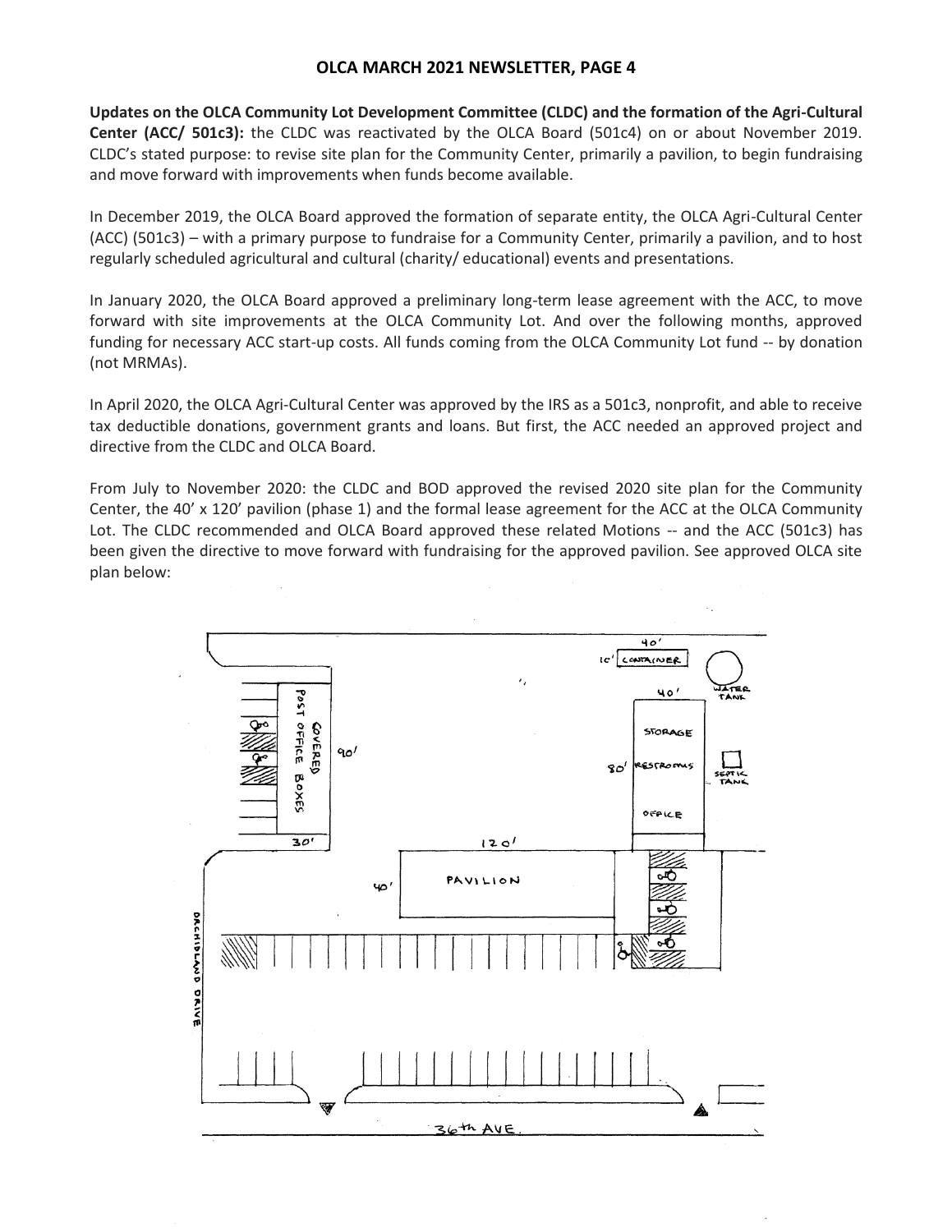# **OLCA MARCH 2021 NEWSLETTER, PAGE 4**

**Updates on the OLCA Community Lot Development Committee (CLDC) and the formation of the Agri-Cultural Center (ACC/ 501c3):** the CLDC was reactivated by the OLCA Board (501c4) on or about November 2019. CLDC's stated purpose: to revise site plan for the Community Center, primarily a pavilion, to begin fundraising and move forward with improvements when funds become available.

In December 2019, the OLCA Board approved the formation of separate entity, the OLCA Agri-Cultural Center (ACC) (501c3) – with a primary purpose to fundraise for a Community Center, primarily a pavilion, and to host regularly scheduled agricultural and cultural (charity/ educational) events and presentations.

In January 2020, the OLCA Board approved a preliminary long-term lease agreement with the ACC, to move forward with site improvements at the OLCA Community Lot. And over the following months, approved funding for necessary ACC start-up costs. All funds coming from the OLCA Community Lot fund -- by donation (not MRMAs).

In April 2020, the OLCA Agri-Cultural Center was approved by the IRS as a 501c3, nonprofit, and able to receive tax deductible donations, government grants and loans. But first, the ACC needed an approved project and directive from the CLDC and OLCA Board.

From July to November 2020: the CLDC and BOD approved the revised 2020 site plan for the Community Center, the 40' x 120' pavilion (phase 1) and the formal lease agreement for the ACC at the OLCA Community Lot. The CLDC recommended and OLCA Board approved these related Motions -- and the ACC (501c3) has been given the directive to move forward with fundraising for the approved pavilion. See approved OLCA site plan below:

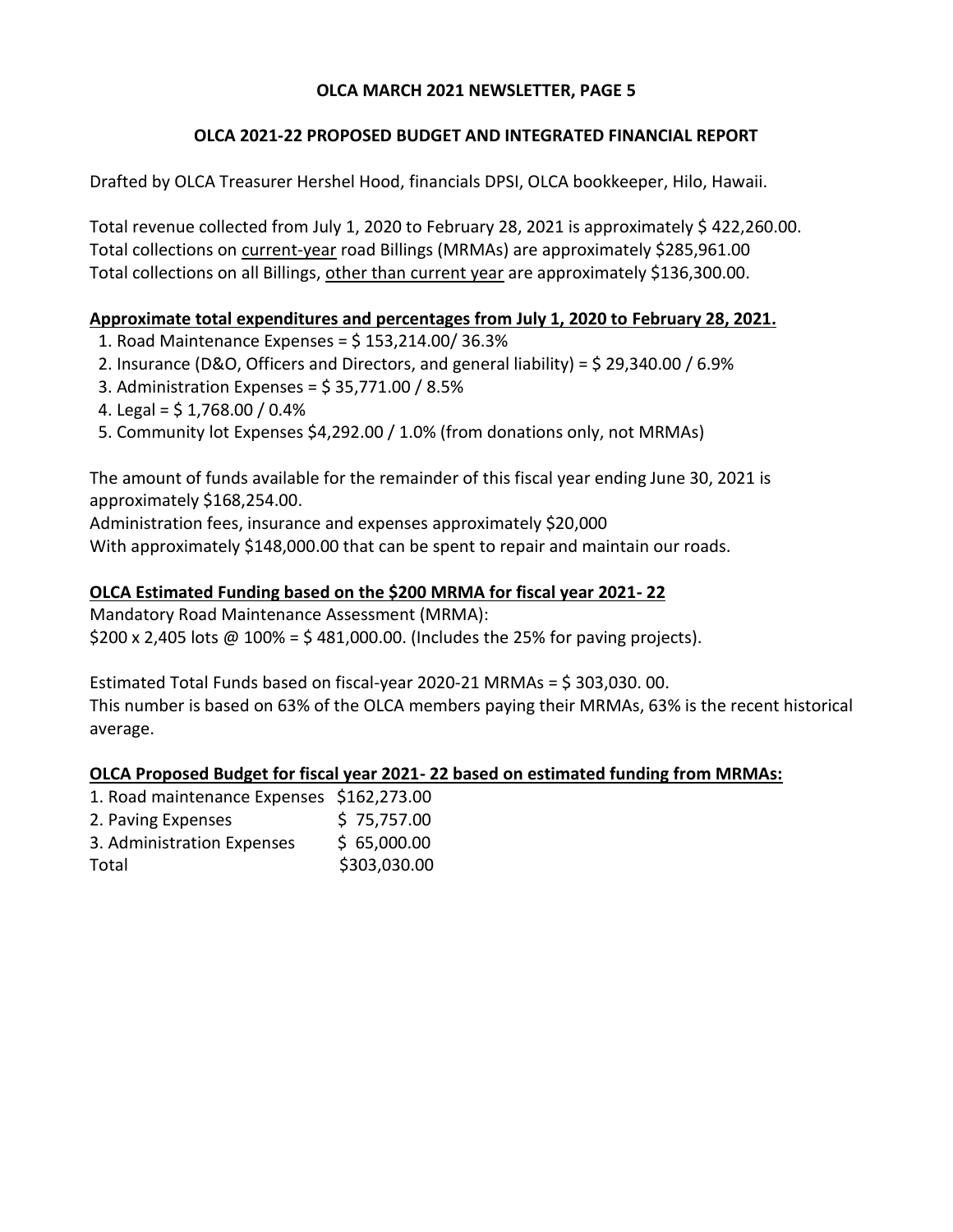# **OLCA MARCH 2021 NEWSLETTER, PAGE 5**

# **OLCA 2021-22 PROPOSED BUDGET AND INTEGRATED FINANCIAL REPORT**

Drafted by OLCA Treasurer Hershel Hood, financials DPSI, OLCA bookkeeper, Hilo, Hawaii.

Total revenue collected from July 1, 2020 to February 28, 2021 is approximately \$ 422,260.00. Total collections on current-year road Billings (MRMAs) are approximately \$285,961.00 Total collections on all Billings, other than current year are approximately \$136,300.00.

# **Approximate total expenditures and percentages from July 1, 2020 to February 28, 2021.**

- 1. Road Maintenance Expenses = \$ 153,214.00/ 36.3%
- 2. Insurance (D&O, Officers and Directors, and general liability) =  $\frac{29}{3}$  29,340.00 / 6.9%
- 3. Administration Expenses =  $$35,771.00 / 8.5\%$
- 4. Legal =  $$1,768.00 / 0.4\%$
- 5. Community lot Expenses \$4,292.00 / 1.0% (from donations only, not MRMAs)

The amount of funds available for the remainder of this fiscal year ending June 30, 2021 is approximately \$168,254.00.

Administration fees, insurance and expenses approximately \$20,000

With approximately \$148,000.00 that can be spent to repair and maintain our roads.

# **OLCA Estimated Funding based on the \$200 MRMA for fiscal year 2021- 22**

Mandatory Road Maintenance Assessment (MRMA): \$200 x 2,405 lots  $\omega$  100% = \$481,000.00. (Includes the 25% for paving projects).

Estimated Total Funds based on fiscal-year 2020-21 MRMAs = \$ 303,030. 00. This number is based on 63% of the OLCA members paying their MRMAs, 63% is the recent historical average.

# **OLCA Proposed Budget for fiscal year 2021- 22 based on estimated funding from MRMAs:**

| 1. Road maintenance Expenses \$162,273.00 |
|-------------------------------------------|
| \$75,757.00                               |
| \$65,000.00                               |
| \$303,030.00                              |
|                                           |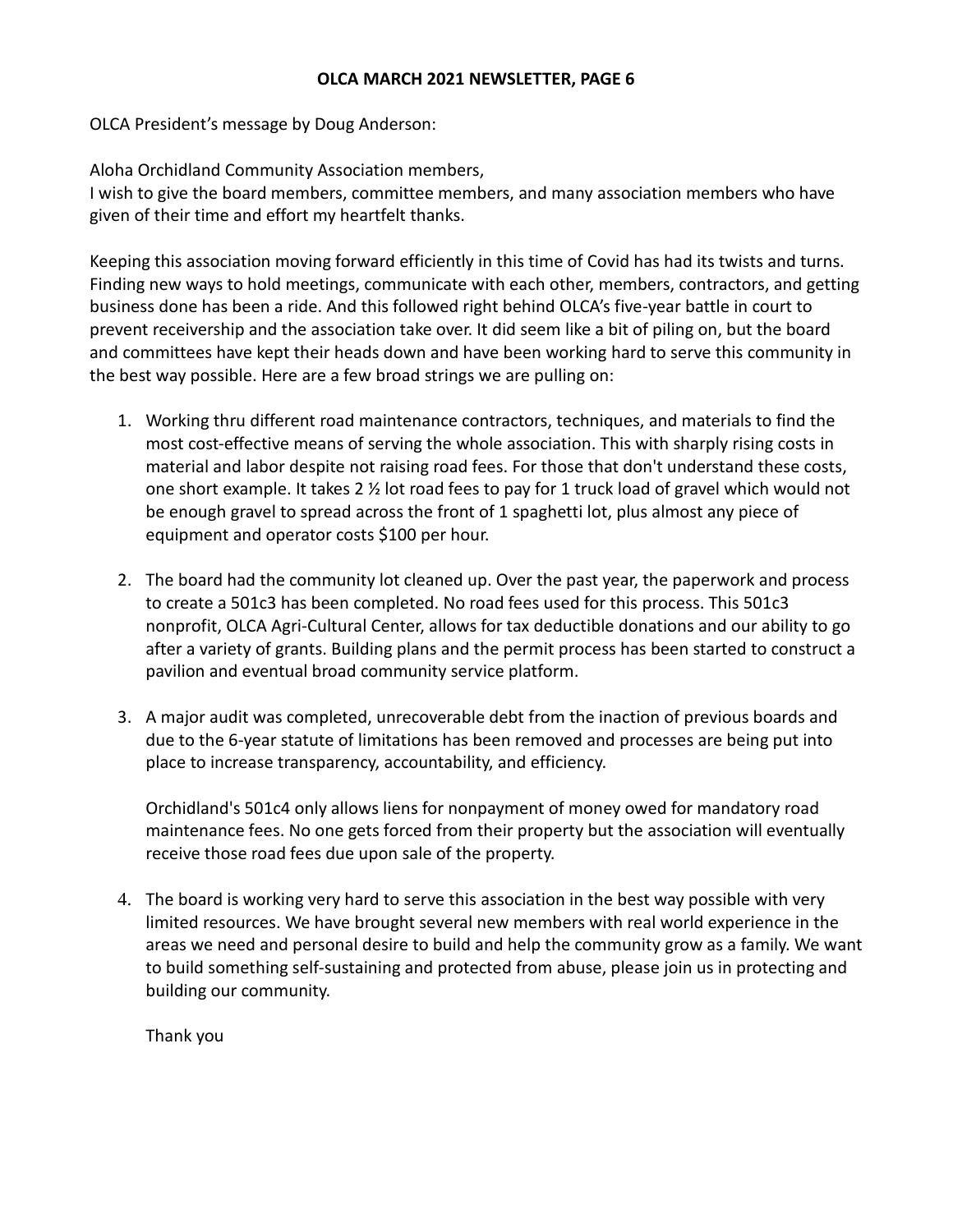### **OLCA MARCH 2021 NEWSLETTER, PAGE 6**

OLCA President's message by Doug Anderson:

Aloha Orchidland Community Association members,

I wish to give the board members, committee members, and many association members who have given of their time and effort my heartfelt thanks.

Keeping this association moving forward efficiently in this time of Covid has had its twists and turns. Finding new ways to hold meetings, communicate with each other, members, contractors, and getting business done has been a ride. And this followed right behind OLCA's five-year battle in court to prevent receivership and the association take over. It did seem like a bit of piling on, but the board and committees have kept their heads down and have been working hard to serve this community in the best way possible. Here are a few broad strings we are pulling on:

- 1. Working thru different road maintenance contractors, techniques, and materials to find the most cost-effective means of serving the whole association. This with sharply rising costs in material and labor despite not raising road fees. For those that don't understand these costs, one short example. It takes 2 ½ lot road fees to pay for 1 truck load of gravel which would not be enough gravel to spread across the front of 1 spaghetti lot, plus almost any piece of equipment and operator costs \$100 per hour.
- 2. The board had the community lot cleaned up. Over the past year, the paperwork and process to create a 501c3 has been completed. No road fees used for this process. This 501c3 nonprofit, OLCA Agri-Cultural Center, allows for tax deductible donations and our ability to go after a variety of grants. Building plans and the permit process has been started to construct a pavilion and eventual broad community service platform.
- 3. A major audit was completed, unrecoverable debt from the inaction of previous boards and due to the 6-year statute of limitations has been removed and processes are being put into place to increase transparency, accountability, and efficiency.

Orchidland's 501c4 only allows liens for nonpayment of money owed for mandatory road maintenance fees. No one gets forced from their property but the association will eventually receive those road fees due upon sale of the property.

4. The board is working very hard to serve this association in the best way possible with very limited resources. We have brought several new members with real world experience in the areas we need and personal desire to build and help the community grow as a family. We want to build something self-sustaining and protected from abuse, please join us in protecting and building our community.

Thank you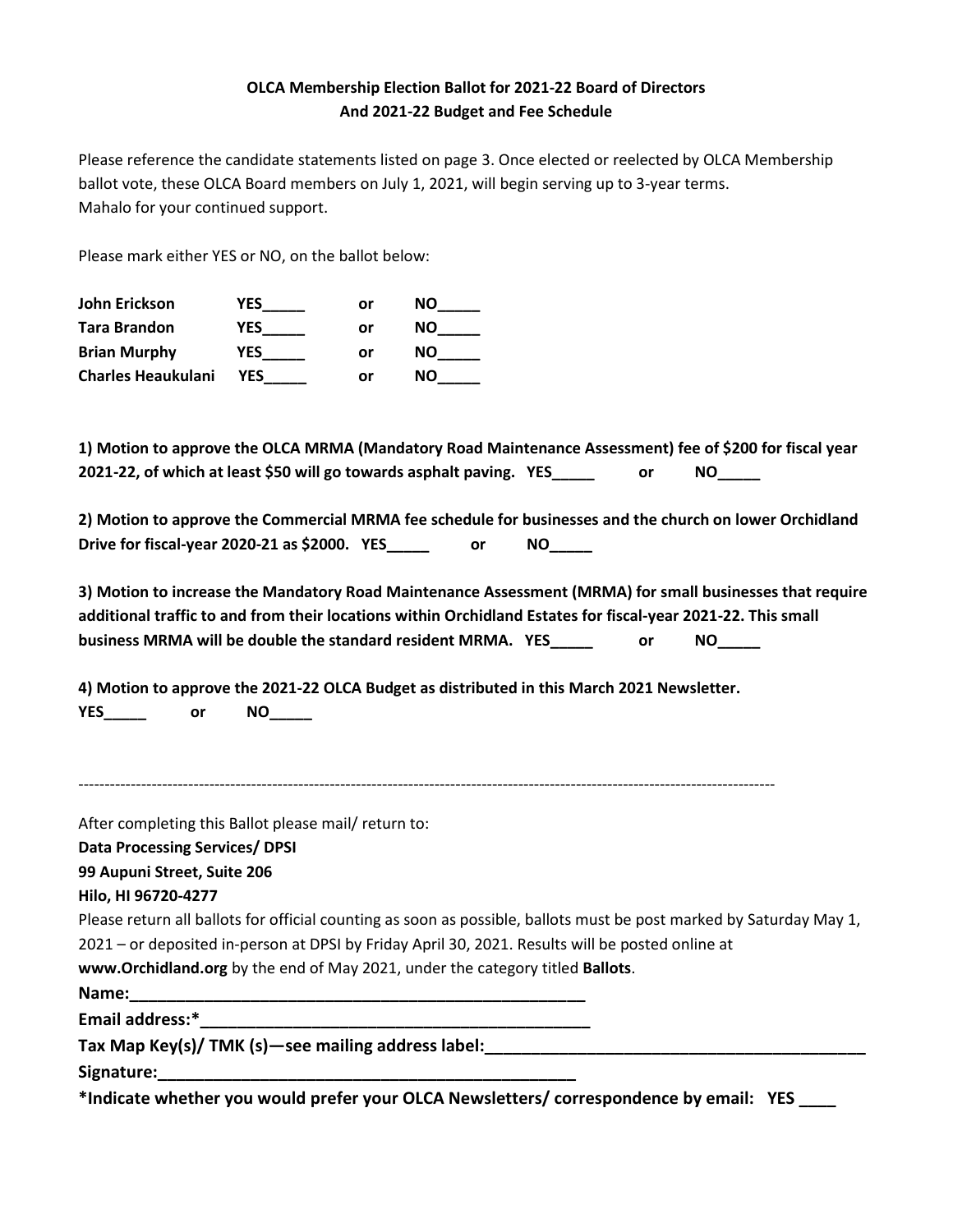# **OLCA Membership Election Ballot for 2021-22 Board of Directors And 2021-22 Budget and Fee Schedule**

Please reference the candidate statements listed on page 3. Once elected or reelected by OLCA Membership ballot vote, these OLCA Board members on July 1, 2021, will begin serving up to 3-year terms. Mahalo for your continued support.

Please mark either YES or NO, on the ballot below:

| John Erickson             | YES        | or | NΟ |
|---------------------------|------------|----|----|
| <b>Tara Brandon</b>       | YES        | or | NΟ |
| <b>Brian Murphy</b>       | YES        | or | NΟ |
| <b>Charles Heaukulani</b> | <b>YES</b> | or | NΟ |

**1) Motion to approve the OLCA MRMA (Mandatory Road Maintenance Assessment) fee of \$200 for fiscal year 2021-22, of which at least \$50 will go towards asphalt paving. YES\_\_\_\_\_ or NO\_\_\_\_\_**

**2) Motion to approve the Commercial MRMA fee schedule for businesses and the church on lower Orchidland Drive for fiscal-year 2020-21 as \$2000. YES\_\_\_\_\_ or NO\_\_\_\_\_**

**3) Motion to increase the Mandatory Road Maintenance Assessment (MRMA) for small businesses that require additional traffic to and from their locations within Orchidland Estates for fiscal-year 2021-22. This small business MRMA will be double the standard resident MRMA. YES\_\_\_\_\_ or NO\_\_\_\_\_**

**4) Motion to approve the 2021-22 OLCA Budget as distributed in this March 2021 Newsletter. YES\_\_\_\_\_ or NO\_\_\_\_\_**

-------------------------------------------------------------------------------------------------------------------------------------

After completing this Ballot please mail/ return to:

**Data Processing Services/ DPSI**

**99 Aupuni Street, Suite 206**

**Hilo, HI 96720-4277**

Please return all ballots for official counting as soon as possible, ballots must be post marked by Saturday May 1,

2021 – or deposited in-person at DPSI by Friday April 30, 2021. Results will be posted online at

**[www.Orchidland.org](http://www.orchidland.org/)** by the end of May 2021, under the category titled **Ballots**.

Name:

**Email address:\*\_\_\_\_\_\_\_\_\_\_\_\_\_\_\_\_\_\_\_\_\_\_\_\_\_\_\_\_\_\_\_\_\_\_\_\_\_\_\_\_\_\_**

**Tax Map Key(s)/ TMK (s)—see mailing address label:\_\_\_\_\_\_\_\_\_\_\_\_\_\_\_\_\_\_\_\_\_\_\_\_\_\_\_\_\_\_\_\_\_\_\_\_\_\_\_\_\_**

**Signature:\_\_\_\_\_\_\_\_\_\_\_\_\_\_\_\_\_\_\_\_\_\_\_\_\_\_\_\_\_\_\_\_\_\_\_\_\_\_\_\_\_\_\_\_\_**

**\*Indicate whether you would prefer your OLCA Newsletters/ correspondence by email: YES \_\_\_\_**